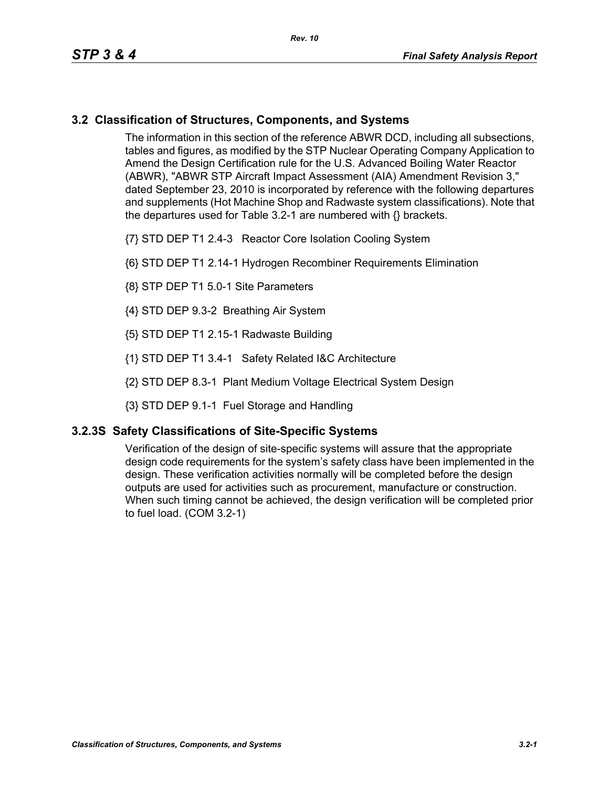### **3.2 Classification of Structures, Components, and Systems**

The information in this section of the reference ABWR DCD, including all subsections, tables and figures, as modified by the STP Nuclear Operating Company Application to Amend the Design Certification rule for the U.S. Advanced Boiling Water Reactor (ABWR), "ABWR STP Aircraft Impact Assessment (AIA) Amendment Revision 3," dated September 23, 2010 is incorporated by reference with the following departures and supplements (Hot Machine Shop and Radwaste system classifications). Note that the departures used for Table 3.2-1 are numbered with {} brackets.

- {7} STD DEP T1 2.4-3 Reactor Core Isolation Cooling System
- {6} STD DEP T1 2.14-1 Hydrogen Recombiner Requirements Elimination
- {8} STP DEP T1 5.0-1 Site Parameters
- {4} STD DEP 9.3-2 Breathing Air System
- {5} STD DEP T1 2.15-1 Radwaste Building
- {1} STD DEP T1 3.4-1 Safety Related I&C Architecture
- {2} STD DEP 8.3-1 Plant Medium Voltage Electrical System Design
- {3} STD DEP 9.1-1 Fuel Storage and Handling

#### **3.2.3S Safety Classifications of Site-Specific Systems**

Verification of the design of site-specific systems will assure that the appropriate design code requirements for the system's safety class have been implemented in the design. These verification activities normally will be completed before the design outputs are used for activities such as procurement, manufacture or construction. When such timing cannot be achieved, the design verification will be completed prior to fuel load. (COM 3.2-1)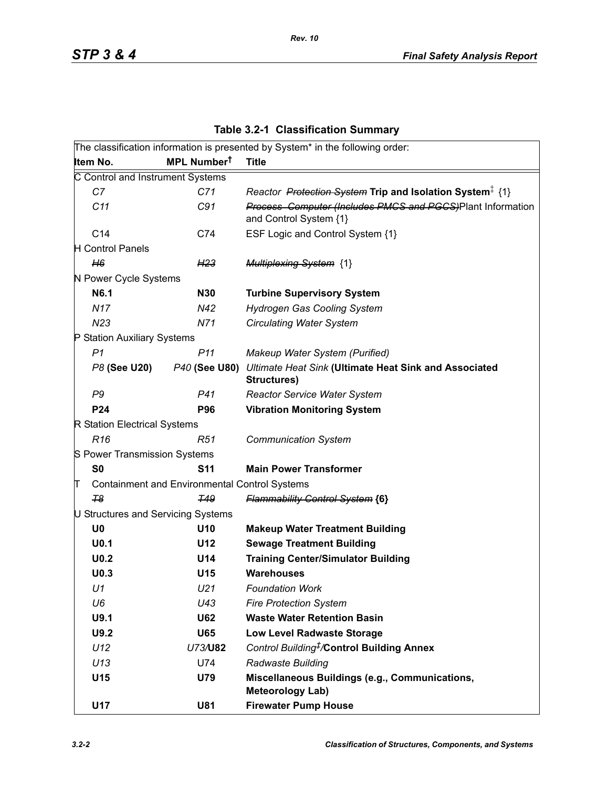|  | <b>Table 3.2-1 Classification Summary</b> |  |
|--|-------------------------------------------|--|
|--|-------------------------------------------|--|

|                                    |                                                      | The classification information is presented by System* in the following order:       |
|------------------------------------|------------------------------------------------------|--------------------------------------------------------------------------------------|
| Item No.                           | MPL Number <sup>t</sup>                              | <b>Title</b>                                                                         |
| C Control and Instrument Systems   |                                                      |                                                                                      |
| C7                                 | C71                                                  | Reactor Protection System Trip and Isolation System <sup>‡</sup> {1}                 |
| C11                                | C91                                                  | Process Computer (Includes PMCS and PGCS)Plant Information<br>and Control System {1} |
| C14                                | C74                                                  | ESF Logic and Control System {1}                                                     |
| <b>H</b> Control Panels            |                                                      |                                                                                      |
| H6                                 | H <sub>23</sub>                                      | <b>Multiplexing System {1}</b>                                                       |
| N Power Cycle Systems              |                                                      |                                                                                      |
| N6.1                               | <b>N30</b>                                           | <b>Turbine Supervisory System</b>                                                    |
| <b>N17</b>                         | N42                                                  | <b>Hydrogen Gas Cooling System</b>                                                   |
| N <sub>23</sub>                    | N71                                                  | <b>Circulating Water System</b>                                                      |
| P Station Auxiliary Systems        |                                                      |                                                                                      |
| P <sub>1</sub>                     | P <sub>11</sub>                                      | Makeup Water System (Purified)                                                       |
| P8 (See U20)                       | P40 (See U80)                                        | Ultimate Heat Sink (Ultimate Heat Sink and Associated<br>Structures)                 |
| P9                                 | P41                                                  | <b>Reactor Service Water System</b>                                                  |
| P24                                | <b>P96</b>                                           | <b>Vibration Monitoring System</b>                                                   |
| R Station Electrical Systems       |                                                      |                                                                                      |
| R <sub>16</sub>                    | R51                                                  | <b>Communication System</b>                                                          |
| S Power Transmission Systems       |                                                      |                                                                                      |
| S <sub>0</sub>                     | <b>S11</b>                                           | <b>Main Power Transformer</b>                                                        |
| π                                  | <b>Containment and Environmental Control Systems</b> |                                                                                      |
| T <sub>8</sub>                     | <b>T49</b>                                           | <b>Flammability Control System {6}</b>                                               |
| U Structures and Servicing Systems |                                                      |                                                                                      |
| U <sub>0</sub>                     | U10                                                  | <b>Makeup Water Treatment Building</b>                                               |
| U <sub>0.1</sub>                   | U12                                                  | <b>Sewage Treatment Building</b>                                                     |
| U <sub>0.2</sub>                   | U14                                                  | <b>Training Center/Simulator Building</b>                                            |
| U <sub>0.3</sub>                   | U15                                                  | <b>Warehouses</b>                                                                    |
| U1                                 | U <sub>21</sub>                                      | <b>Foundation Work</b>                                                               |
| U6                                 | U43                                                  | <b>Fire Protection System</b>                                                        |
| U9.1                               | <b>U62</b>                                           | <b>Waste Water Retention Basin</b>                                                   |
| U9.2                               | <b>U65</b>                                           | <b>Low Level Radwaste Storage</b>                                                    |
| U12                                | U73/U82                                              | Control Building <sup>#</sup> /Control Building Annex                                |
| U13                                | U74                                                  | Radwaste Building                                                                    |
| U15                                | U79                                                  | Miscellaneous Buildings (e.g., Communications,<br><b>Meteorology Lab)</b>            |
| U17                                | <b>U81</b>                                           | <b>Firewater Pump House</b>                                                          |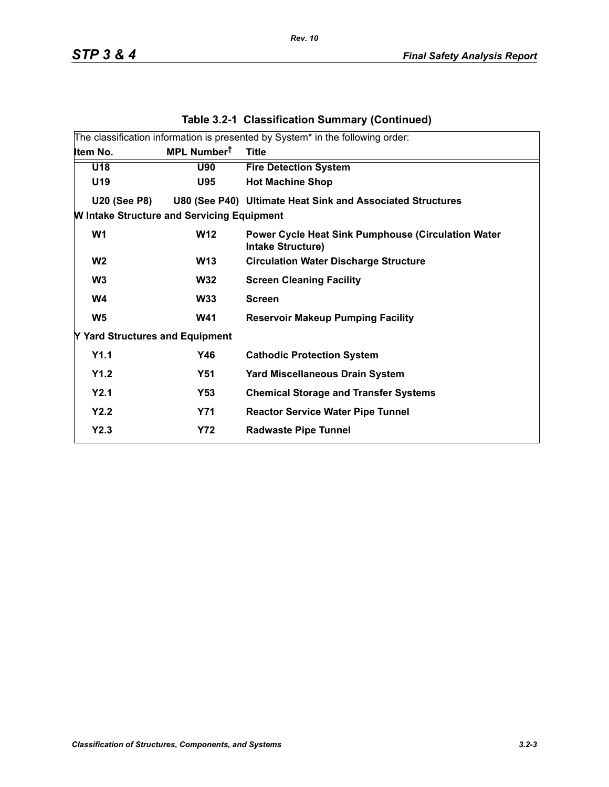|                                                   |                         | The classification information is presented by System* in the following order: |
|---------------------------------------------------|-------------------------|--------------------------------------------------------------------------------|
| Item No.                                          | MPL Number <sup>t</sup> | <b>Title</b>                                                                   |
| U18                                               | <b>U90</b>              | <b>Fire Detection System</b>                                                   |
| U19                                               | U95                     | <b>Hot Machine Shop</b>                                                        |
| <b>U20 (See P8)</b>                               |                         | U80 (See P40) Ultimate Heat Sink and Associated Structures                     |
| <b>W Intake Structure and Servicing Equipment</b> |                         |                                                                                |
| W <sub>1</sub>                                    | <b>W12</b>              | <b>Power Cycle Heat Sink Pumphouse (Circulation Water</b><br>Intake Structure) |
| W <sub>2</sub>                                    | <b>W13</b>              | <b>Circulation Water Discharge Structure</b>                                   |
| W <sub>3</sub>                                    | <b>W32</b>              | <b>Screen Cleaning Facility</b>                                                |
| W4                                                | <b>W33</b>              | <b>Screen</b>                                                                  |
| W <sub>5</sub>                                    | <b>W41</b>              | <b>Reservoir Makeup Pumping Facility</b>                                       |
| Y Yard Structures and Equipment                   |                         |                                                                                |
| Y1.1                                              | Y46                     | <b>Cathodic Protection System</b>                                              |
| Y1.2                                              | <b>Y51</b>              | <b>Yard Miscellaneous Drain System</b>                                         |
| Y2.1                                              | Y53                     | <b>Chemical Storage and Transfer Systems</b>                                   |
| Y2.2                                              | <b>Y71</b>              | <b>Reactor Service Water Pipe Tunnel</b>                                       |
| Y2.3                                              | <b>Y72</b>              | <b>Radwaste Pipe Tunnel</b>                                                    |
|                                                   |                         |                                                                                |

### **Table 3.2-1 Classification Summary (Continued)**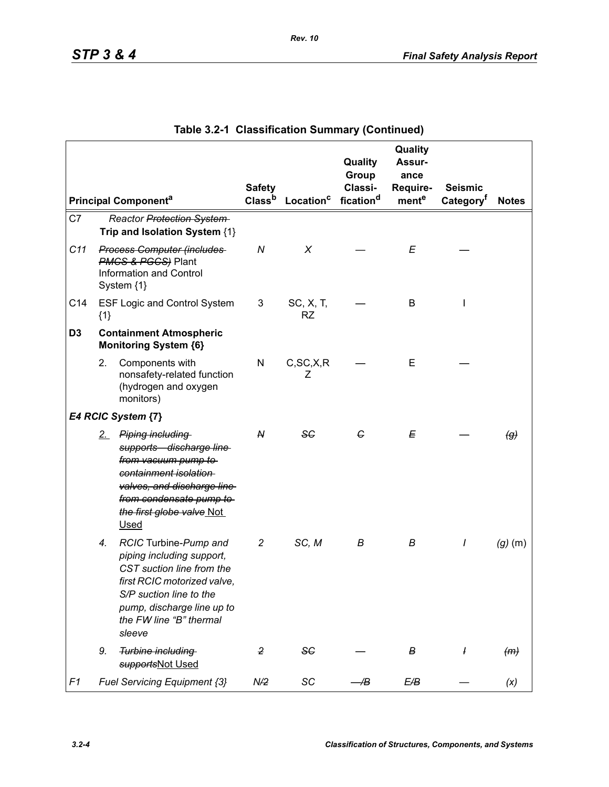|                |       |                                                                                                                                                                                                             | <b>Safety</b>  |                                          | Quality<br>Group<br>Classi- | Quality<br>Assur-<br>ance<br>Require- | <b>Seismic</b>        |                   |
|----------------|-------|-------------------------------------------------------------------------------------------------------------------------------------------------------------------------------------------------------------|----------------|------------------------------------------|-----------------------------|---------------------------------------|-----------------------|-------------------|
|                |       | <b>Principal Componenta</b>                                                                                                                                                                                 |                | Class <sup>b</sup> Location <sup>c</sup> | fication <sup>d</sup>       | mente                                 | Category <sup>t</sup> | <b>Notes</b>      |
| C7             |       | Reactor Protection System<br>Trip and Isolation System {1}                                                                                                                                                  |                |                                          |                             |                                       |                       |                   |
| C11            |       | <b>Process Computer (includes</b><br><b>PMCS &amp; PGCS</b> ) Plant<br><b>Information and Control</b><br>System {1}                                                                                         | $\overline{N}$ | X                                        |                             | E                                     |                       |                   |
| C14            | ${1}$ | <b>ESF Logic and Control System</b>                                                                                                                                                                         | 3              | SC, X, T,<br><b>RZ</b>                   |                             | B                                     |                       |                   |
| D <sub>3</sub> |       | <b>Containment Atmospheric</b><br><b>Monitoring System {6}</b>                                                                                                                                              |                |                                          |                             |                                       |                       |                   |
|                | 2.    | Components with<br>nonsafety-related function<br>(hydrogen and oxygen<br>monitors)                                                                                                                          | N              | C, SC, X, R<br>Ζ                         |                             | E                                     |                       |                   |
|                |       | E4 RCIC System {7}                                                                                                                                                                                          |                |                                          |                             |                                       |                       |                   |
|                |       | 2. Piping including<br>supports discharge line<br>from vacuum pump to<br>containment isolation<br>valves, and discharge line<br>from condensate pump to<br>the first globe valve Not<br><b>Used</b>         | N              | <b>SC</b>                                | G                           | E                                     |                       | $\left( g\right)$ |
|                | 4.    | RCIC Turbine-Pump and<br>piping including support,<br>CST suction line from the<br>first RCIC motorized valve<br>S/P suction line to the<br>pump, discharge line up to<br>the FW line "B" thermal<br>sleeve | $\overline{c}$ | SC, M                                    | В                           | В                                     | I                     | $(g)$ (m)         |
|                | 9.    | Turbine including<br>supportsNot Used                                                                                                                                                                       | 2              | <b>SC</b>                                |                             | в                                     |                       | (m)               |
| F1             |       | Fuel Servicing Equipment {3}                                                                                                                                                                                | N/2            | SC                                       | /B                          | E/B                                   |                       | (x)               |

# **Table 3.2-1 Classification Summary (Continued)**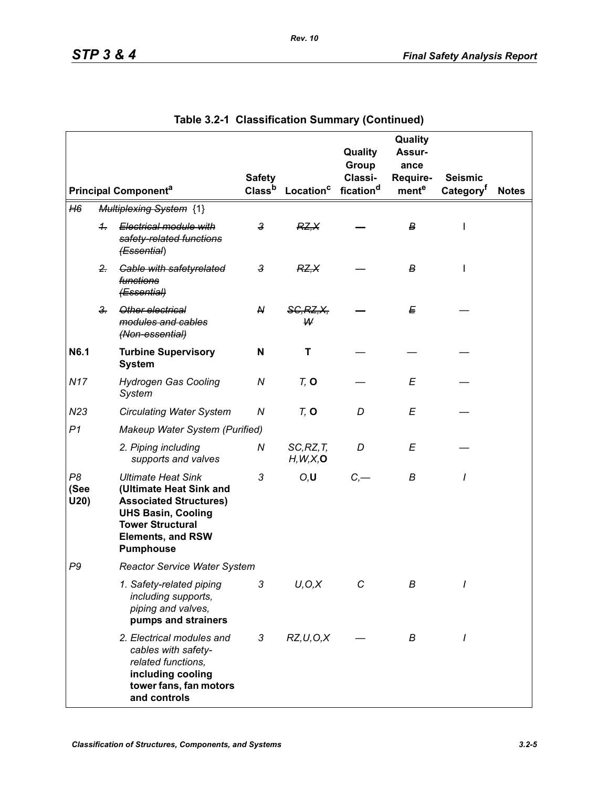|                    |                      |                                                                                                                                                                                               | <b>Safety</b>      |                         | Quality<br>Group<br>Classi- | Quality<br>Assur-<br>ance<br>Require- | <b>Seismic</b>        |              |
|--------------------|----------------------|-----------------------------------------------------------------------------------------------------------------------------------------------------------------------------------------------|--------------------|-------------------------|-----------------------------|---------------------------------------|-----------------------|--------------|
|                    |                      | <b>Principal Componenta</b>                                                                                                                                                                   | Class <sup>b</sup> | Location <sup>c</sup>   | fication <sup>d</sup>       | mente                                 | Category <sup>t</sup> | <b>Notes</b> |
| H6                 |                      | <b>Multiplexing System {1}</b>                                                                                                                                                                |                    |                         |                             |                                       |                       |              |
|                    | $\ddot{\phantom{1}}$ | Electrical module with<br>safety-related functions<br>(Essential)                                                                                                                             | $\mathbf{3}$       | RZ, X                   |                             | В                                     | I                     |              |
|                    | $2 -$                | <b>Gable with safetyrelated</b><br>functions<br>(Essential)                                                                                                                                   | 3                  | RZ.X                    |                             | В                                     | L                     |              |
|                    | $3 -$                | Other electrical<br>modules and cables<br>(Non-essential)                                                                                                                                     | ${\mathsf N}$      | <b>SG, RZ, X,</b><br>W  |                             | E                                     |                       |              |
| N6.1               |                      | <b>Turbine Supervisory</b><br><b>System</b>                                                                                                                                                   | N                  | т                       |                             |                                       |                       |              |
| <b>N17</b>         |                      | <b>Hydrogen Gas Cooling</b><br>System                                                                                                                                                         | ${\cal N}$         | $Tz$ O                  |                             | E                                     |                       |              |
| N23                |                      | <b>Circulating Water System</b>                                                                                                                                                               | Ν                  | $Tz$ O                  | D                           | E                                     |                       |              |
| P <sub>1</sub>     |                      | Makeup Water System (Purified)                                                                                                                                                                |                    |                         |                             |                                       |                       |              |
|                    |                      | 2. Piping including<br>supports and valves                                                                                                                                                    | Ν                  | SC, RZ, T<br>H, W, X, O | D                           | E                                     |                       |              |
| P8<br>(See<br>U20) |                      | <b>Ultimate Heat Sink</b><br>(Ultimate Heat Sink and<br><b>Associated Structures)</b><br><b>UHS Basin, Cooling</b><br><b>Tower Structural</b><br><b>Elements, and RSW</b><br><b>Pumphouse</b> | 3                  | O, U                    | $C, -$                      | B                                     | I                     |              |
| P <sub>9</sub>     |                      | <b>Reactor Service Water System</b>                                                                                                                                                           |                    |                         |                             |                                       |                       |              |
|                    |                      | 1. Safety-related piping<br>including supports,<br>piping and valves,<br>pumps and strainers                                                                                                  | 3                  | U, O, X                 | С                           | В                                     |                       |              |
|                    |                      | 2. Electrical modules and<br>cables with safety-<br>related functions,<br>including cooling<br>tower fans, fan motors<br>and controls                                                         | 3                  | RZ, U, O, X             |                             | В                                     | I                     |              |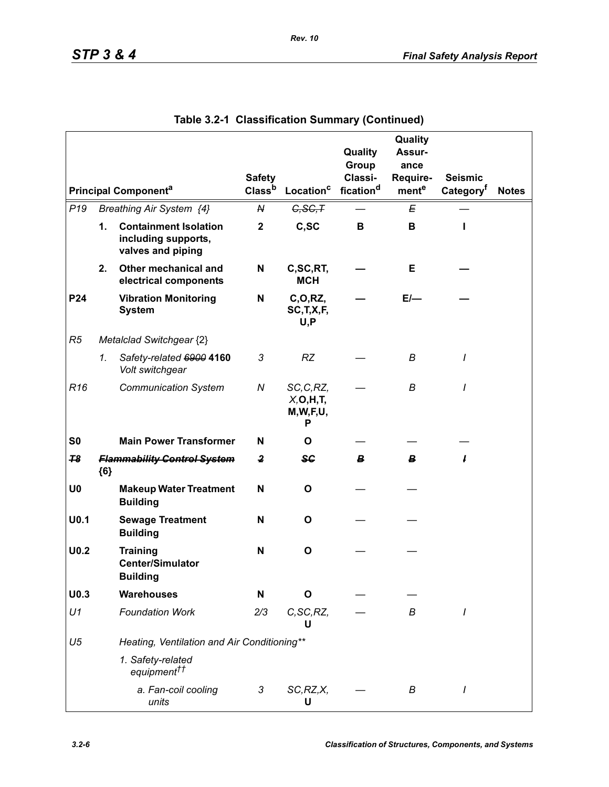|                  |       |                                                                          |                         |                                              | Quality               | Quality<br>Assur- |                       |              |
|------------------|-------|--------------------------------------------------------------------------|-------------------------|----------------------------------------------|-----------------------|-------------------|-----------------------|--------------|
|                  |       |                                                                          |                         |                                              | Group                 | ance              |                       |              |
|                  |       |                                                                          | <b>Safety</b>           |                                              | Classi-               | Require-          | <b>Seismic</b>        |              |
|                  |       | <b>Principal Componenta</b>                                              | Class <sup>b</sup>      | Location <sup>c</sup>                        | fication <sup>d</sup> | mente             | Category <sup>t</sup> | <b>Notes</b> |
| P <sub>19</sub>  |       | Breathing Air System {4}                                                 | N                       | G, SG, T                                     |                       | E                 |                       |              |
|                  | 1.    | <b>Containment Isolation</b><br>including supports,<br>valves and piping | $\mathbf{2}$            | C,SC                                         | B                     | В                 | ı                     |              |
|                  | 2.    | Other mechanical and<br>electrical components                            | N                       | C,SC,RT,<br><b>MCH</b>                       |                       | Е                 |                       |              |
| P24              |       | <b>Vibration Monitoring</b><br><b>System</b>                             | N                       | C, O, RZ,<br>SC, T, X, F,<br>U, P            |                       | $E/-$             |                       |              |
| R5               |       | Metalclad Switchgear {2}                                                 |                         |                                              |                       |                   |                       |              |
|                  | 1.    | Safety-related 6900 4160<br>Volt switchgear                              | 3                       | <b>RZ</b>                                    |                       | B                 | I                     |              |
| R <sub>16</sub>  |       | <b>Communication System</b>                                              | N                       | SC, C, RZ,<br>X, O, H, T<br>M, W, F, U,<br>Р |                       | В                 | I                     |              |
| S <sub>0</sub>   |       | <b>Main Power Transformer</b>                                            | N                       | O                                            |                       |                   |                       |              |
| 78               | ${6}$ | <b>Flammability Control System</b>                                       | $\overline{\mathbf{2}}$ | ₩                                            | В.                    | B                 | ı                     |              |
| U <sub>0</sub>   |       | <b>Makeup Water Treatment</b><br><b>Building</b>                         | N                       | O                                            |                       |                   |                       |              |
| U <sub>0.1</sub> |       | <b>Sewage Treatment</b><br><b>Building</b>                               | N                       | O                                            |                       |                   |                       |              |
| U <sub>0.2</sub> |       | <b>Training</b><br><b>Center/Simulator</b><br><b>Building</b>            | N                       | $\mathbf{o}$                                 |                       |                   |                       |              |
| U <sub>0.3</sub> |       | <b>Warehouses</b>                                                        | N                       | Ο                                            |                       |                   |                       |              |
| U1               |       | <b>Foundation Work</b>                                                   | 2/3                     | C, SC, RZ,<br>U                              |                       | В                 | I                     |              |
| U <sub>5</sub>   |       | Heating, Ventilation and Air Conditioning**                              |                         |                                              |                       |                   |                       |              |
|                  |       | 1. Safety-related<br>equipment <sup>††</sup>                             |                         |                                              |                       |                   |                       |              |
|                  |       | a. Fan-coil cooling<br>units                                             | 3                       | SC, RZ, X,<br>U                              |                       | В                 |                       |              |

|  | Table 3.2-1 Classification Summary (Continued) |  |  |
|--|------------------------------------------------|--|--|
|--|------------------------------------------------|--|--|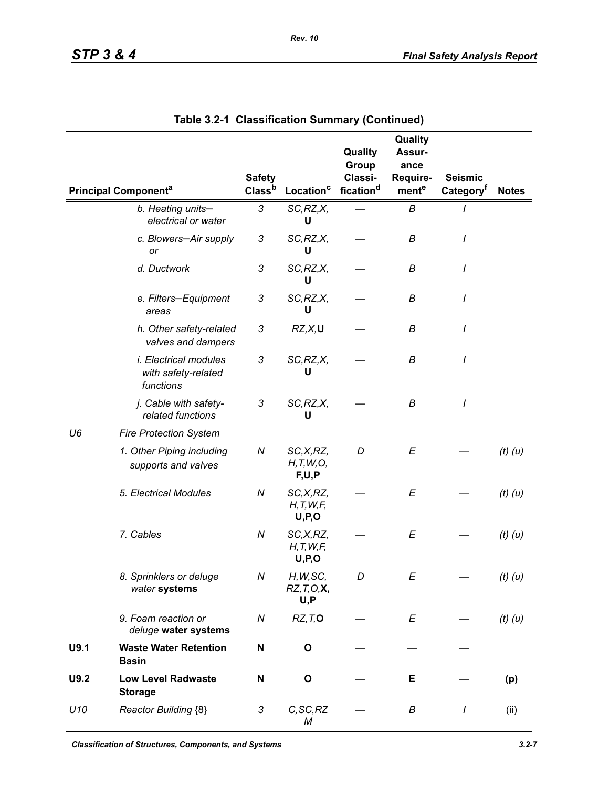|      |                                                                  | <b>Safety</b>             |                                      | Quality<br>Group<br>Classi- | Quality<br>Assur-<br>ance<br>Require- | <b>Seismic</b>        |              |
|------|------------------------------------------------------------------|---------------------------|--------------------------------------|-----------------------------|---------------------------------------|-----------------------|--------------|
|      | <b>Principal Componenta</b>                                      | Class <sup>b</sup>        | Location <sup>c</sup>                | fication <sup>d</sup>       | mente                                 | Category <sup>t</sup> | <b>Notes</b> |
|      | b. Heating units-<br>electrical or water                         | 3                         | SC, RZ, X,<br>U                      |                             | В                                     |                       |              |
|      | c. Blowers-Air supply<br>or                                      | 3                         | SC, RZ, X,<br>U                      |                             | В                                     | I                     |              |
|      | d. Ductwork                                                      | 3                         | SC, RZ, X,<br>U                      |                             | В                                     |                       |              |
|      | e. Filters-Equipment<br>areas                                    | 3                         | SC, RZ, X,<br>U                      |                             | В                                     | 1                     |              |
|      | h. Other safety-related<br>valves and dampers                    | 3                         | RZ, X, U                             |                             | В                                     | I                     |              |
|      | <i>i. Electrical modules</i><br>with safety-related<br>functions | 3                         | SC, RZ, X,<br>U                      |                             | В                                     | I                     |              |
|      | j. Cable with safety-<br>related functions                       | $\ensuremath{\mathsf{3}}$ | SC, RZ, X,<br>U                      |                             | B                                     | I                     |              |
| U6   | <b>Fire Protection System</b>                                    |                           |                                      |                             |                                       |                       |              |
|      | 1. Other Piping including<br>supports and valves                 | N                         | SC,X,RZ,<br>H, T, W, O,<br>F,U,P     | D                           | E                                     |                       | $(t)$ $(u)$  |
|      | 5. Electrical Modules                                            | N                         | SC, X, RZ,<br>H, T, W, F,<br>U, P, O |                             | E                                     |                       | $(t)$ $(u)$  |
|      | 7. Cables                                                        | ${\cal N}$                | SC,X,RZ,<br>H, T, W, F,<br>U, P, O   |                             | E                                     |                       | $(t)$ $(u)$  |
|      | 8. Sprinklers or deluge<br>water systems                         | Ν                         | H, W, SC,<br>RZ, T, O, X<br>U, P     | D                           | E                                     |                       | $(t)$ $(u)$  |
|      | 9. Foam reaction or<br>deluge water systems                      | N                         | RZ, T, O                             |                             | E                                     |                       | $(t)$ $(u)$  |
| U9.1 | <b>Waste Water Retention</b><br><b>Basin</b>                     | N                         | O                                    |                             |                                       |                       |              |
| U9.2 | <b>Low Level Radwaste</b><br><b>Storage</b>                      | N                         | O                                    |                             | Е.                                    |                       | (p)          |
| U10  | Reactor Building {8}                                             | 3                         | C, SC, RZ<br>М                       |                             | В                                     | $\prime$              | (ii)         |

|  | Table 3.2-1 Classification Summary (Continued) |  |  |  |
|--|------------------------------------------------|--|--|--|
|--|------------------------------------------------|--|--|--|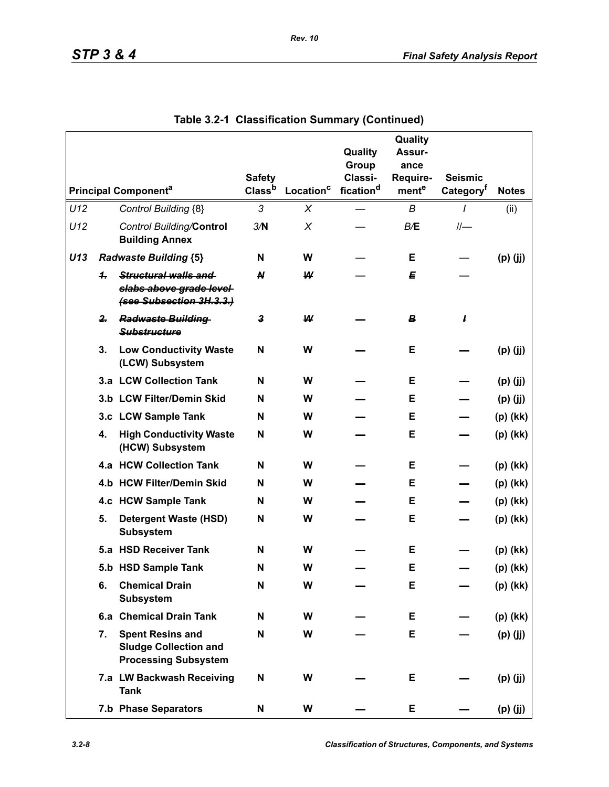|     |              |                                                                                        | <b>Safety</b>    |                       | Quality<br>Group<br>Classi- | Quality<br>Assur-<br>ance<br>Require- | <b>Seismic</b>        |              |
|-----|--------------|----------------------------------------------------------------------------------------|------------------|-----------------------|-----------------------------|---------------------------------------|-----------------------|--------------|
|     |              | <b>Principal Componenta</b>                                                            | Classb           | Location <sup>c</sup> | fication <sup>d</sup>       | mente                                 | Category <sup>t</sup> | <b>Notes</b> |
| U12 |              | Control Building {8}                                                                   | 3                | X                     |                             | B                                     | I                     | (ii)         |
| U12 |              | Control Building/Control<br><b>Building Annex</b>                                      | 3/N              | X                     |                             | B/E                                   | $II-$                 |              |
| U13 |              | <b>Radwaste Building {5}</b>                                                           | N                | W                     |                             | Е                                     |                       | $(p)$ (jj)   |
|     | $\ddot{ }$   | Structural walls and<br>slabs above grade level-<br>(see Subsection 3H.3.3.)           | N                | W                     |                             | E                                     |                       |              |
|     | $\mathbf{2}$ | <b>Radwaste Building</b><br><b>Substructure</b>                                        | $\boldsymbol{3}$ | W                     |                             | B                                     | ł                     |              |
|     | 3.           | <b>Low Conductivity Waste</b><br>(LCW) Subsystem                                       | N                | W                     |                             | Е                                     |                       | $(p)$ (jj)   |
|     |              | 3.a LCW Collection Tank                                                                | N                | W                     |                             | Е                                     |                       | $(p)$ (jj)   |
|     |              | 3.b LCW Filter/Demin Skid                                                              | N                | W                     |                             | Е                                     |                       | $(p)$ (jj)   |
|     |              | 3.c LCW Sample Tank                                                                    | N                | W                     |                             | Е                                     |                       | $(p)$ (kk)   |
|     | 4.           | <b>High Conductivity Waste</b><br>(HCW) Subsystem                                      | N                | W                     |                             | Е                                     |                       | $(p)$ (kk)   |
|     |              | 4.a HCW Collection Tank                                                                | N                | W                     |                             | Е                                     |                       | $(p)$ (kk)   |
|     |              | 4.b HCW Filter/Demin Skid                                                              | N                | W                     |                             | Е                                     |                       | $(p)$ (kk)   |
|     |              | 4.c HCW Sample Tank                                                                    | N                | W                     |                             | Е                                     |                       | $(p)$ (kk)   |
|     | 5.           | <b>Detergent Waste (HSD)</b><br><b>Subsystem</b>                                       | N                | W                     |                             | Е                                     |                       | (p) (kk)     |
|     |              | 5.a HSD Receiver Tank                                                                  | N                | W                     |                             | Е                                     |                       | $(p)$ (kk)   |
|     |              | 5.b HSD Sample Tank                                                                    | N                | W                     |                             | Е                                     |                       | $(p)$ (kk)   |
|     | 6.           | <b>Chemical Drain</b><br><b>Subsystem</b>                                              | N                | W                     |                             | Е                                     |                       | $(p)$ (kk)   |
|     |              | 6.a Chemical Drain Tank                                                                | N                | W                     |                             | Е                                     |                       | (p) (kk)     |
|     | 7.           | <b>Spent Resins and</b><br><b>Sludge Collection and</b><br><b>Processing Subsystem</b> | N                | W                     |                             | Е                                     |                       | $(p)$ (jj)   |
|     |              | 7.a LW Backwash Receiving<br><b>Tank</b>                                               | N                | W                     |                             | Е                                     |                       | $(p)$ (jj)   |
|     |              | 7.b Phase Separators                                                                   | N                | W                     |                             | Е                                     |                       | $(p)$ (jj)   |

**Table 3.2-1 Classification Summary (Continued)**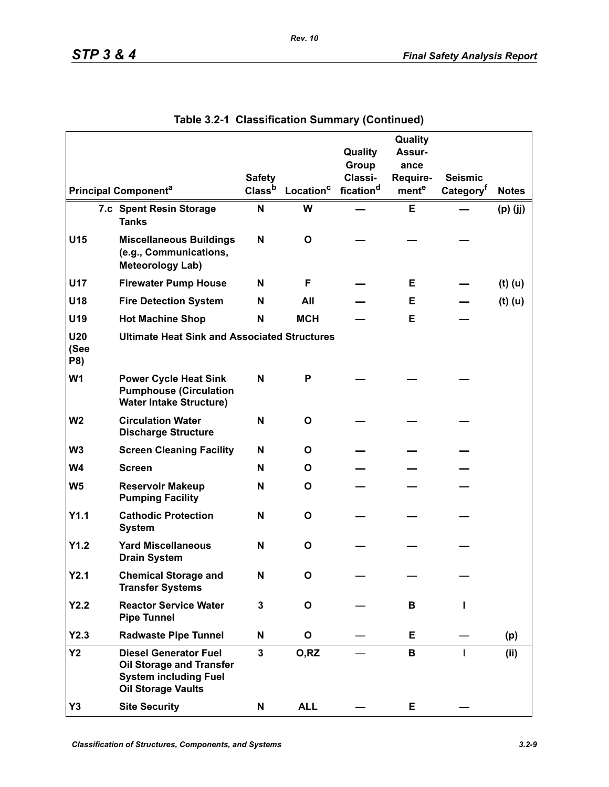|                           |                                                                                                                       | <b>Safety</b>      |                       | Quality<br>Group<br>Classi- | Quality<br>Assur-<br>ance<br>Require- | <b>Seismic</b>        |              |
|---------------------------|-----------------------------------------------------------------------------------------------------------------------|--------------------|-----------------------|-----------------------------|---------------------------------------|-----------------------|--------------|
|                           | <b>Principal Component<sup>a</sup></b>                                                                                | Class <sup>b</sup> | Location <sup>c</sup> | fication <sup>d</sup>       | mente                                 | Category <sup>t</sup> | <b>Notes</b> |
|                           | 7.c Spent Resin Storage<br><b>Tanks</b>                                                                               | N                  | W                     |                             | Е                                     |                       | $(p)$ (jj)   |
| U15                       | <b>Miscellaneous Buildings</b><br>(e.g., Communications,<br><b>Meteorology Lab)</b>                                   | N                  | O                     |                             |                                       |                       |              |
| U17                       | <b>Firewater Pump House</b>                                                                                           | N                  | F                     |                             | Е                                     |                       | $(t)$ (u)    |
| U18                       | <b>Fire Detection System</b>                                                                                          | N                  | All                   |                             | Е                                     |                       | $(t)$ (u)    |
| U19                       | <b>Hot Machine Shop</b>                                                                                               | N                  | <b>MCH</b>            |                             | Е                                     |                       |              |
| <b>U20</b><br>(See<br>P8) | <b>Ultimate Heat Sink and Associated Structures</b>                                                                   |                    |                       |                             |                                       |                       |              |
| W <sub>1</sub>            | <b>Power Cycle Heat Sink</b><br><b>Pumphouse (Circulation</b><br><b>Water Intake Structure)</b>                       | N                  | P                     |                             |                                       |                       |              |
| W <sub>2</sub>            | <b>Circulation Water</b><br><b>Discharge Structure</b>                                                                | N                  | $\mathbf{o}$          |                             |                                       |                       |              |
| W <sub>3</sub>            | <b>Screen Cleaning Facility</b>                                                                                       | N                  | O                     |                             |                                       |                       |              |
| W <sub>4</sub>            | <b>Screen</b>                                                                                                         | N                  | O                     |                             |                                       |                       |              |
| W <sub>5</sub>            | <b>Reservoir Makeup</b><br><b>Pumping Facility</b>                                                                    | N                  | O                     |                             |                                       |                       |              |
| Y1.1                      | <b>Cathodic Protection</b><br><b>System</b>                                                                           | N                  | $\mathbf{o}$          |                             |                                       |                       |              |
| Y1.2                      | <b>Yard Miscellaneous</b><br><b>Drain System</b>                                                                      | N                  | O                     |                             |                                       |                       |              |
| Y2.1                      | <b>Chemical Storage and</b><br><b>Transfer Systems</b>                                                                | N                  | O                     |                             |                                       |                       |              |
| Y2.2                      | <b>Reactor Service Water</b><br><b>Pipe Tunnel</b>                                                                    | $\mathbf 3$        | $\mathbf{o}$          |                             | В                                     |                       |              |
| Y2.3                      | <b>Radwaste Pipe Tunnel</b>                                                                                           | N                  | O                     |                             | E                                     |                       | (p)          |
| <b>Y2</b>                 | <b>Diesel Generator Fuel</b><br>Oil Storage and Transfer<br><b>System including Fuel</b><br><b>Oil Storage Vaults</b> | $\overline{3}$     | O, RZ                 |                             | В                                     | $\mathbf{I}$          | (ii)         |
| Y3                        | <b>Site Security</b>                                                                                                  | N                  | <b>ALL</b>            |                             | Е                                     |                       |              |

| Table 3.2-1 Classification Summary (Continued) |  |  |  |  |
|------------------------------------------------|--|--|--|--|
|------------------------------------------------|--|--|--|--|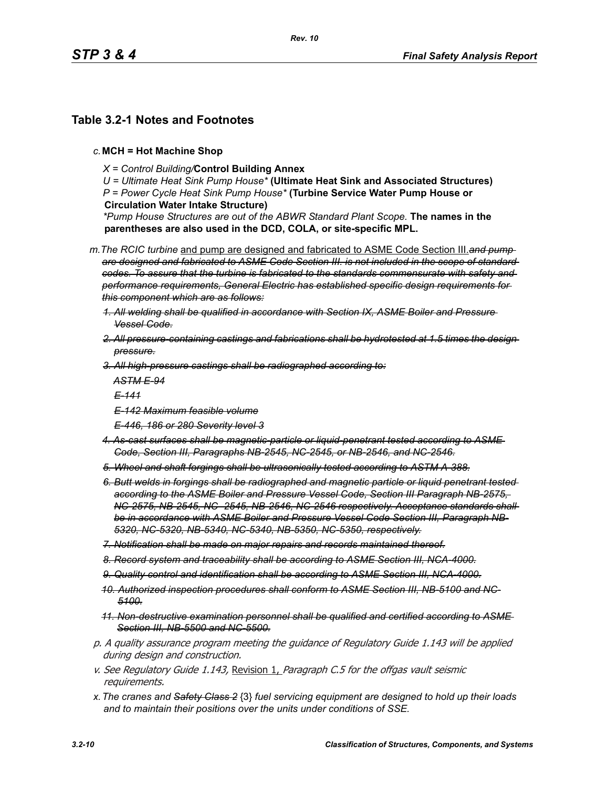# **Table 3.2-1 Notes and Footnotes**

- *c.***MCH = Hot Machine Shop**
	- *X = Control Building/***Control Building Annex**

*U = Ultimate Heat Sink Pump House\** **(Ultimate Heat Sink and Associated Structures)** *P = Power Cycle Heat Sink Pump House\** **(Turbine Service Water Pump House or Circulation Water Intake Structure)**

*\*Pump House Structures are out of the ABWR Standard Plant Scope.* **The names in the parentheses are also used in the DCD, COLA, or site-specific MPL.**

*m.The RCIC turbine* and pump are designed and fabricated to ASME Code Section III.*and pump are designed and fabricated to ASME Code Section III. is not included in the scope of standard codes. To assure that the turbine is fabricated to the standards commensurate with safety and performance requirements, General Electric has established specific design requirements for this component which are as follows:*

- *1. All welding shall be qualified in accordance with Section IX, ASME Boiler and Pressure Vessel Code.*
- *2. All pressure-containing castings and fabrications shall be hydrotested at 1.5 times the design pressure.*
- *3. All high-pressure castings shall be radiographed according to:*

*ASTM E-94*

*E-141*

- *E-142 Maximum feasible volume*
- *E-446, 186 or 280 Severity level 3*
- *4. As-cast surfaces shall be magnetic-particle or liquid-penetrant tested according to ASME Code, Section III, Paragraphs NB-2545, NC-2545, or NB-2546, and NC-2546.*
- *5. Wheel and shaft forgings shall be ultrasonically tested according to ASTM A-388.*
- *6. Butt welds in forgings shall be radiographed and magnetic particle or liquid penetrant tested according to the ASME Boiler and Pressure Vessel Code, Section III Paragraph NB-2575, NC-2575, NB-2545, NC- 2545, NB-2546, NC-2546 respectively. Acceptance standards shall be in accordance with ASME Boiler and Pressure Vessel Code Section III, Paragraph NB-5320, NC-5320, NB-5340, NC-5340, NB-5350, NC-5350, respectively.*
- *7. Notification shall be made on major repairs and records maintained thereof.*
- *8. Record system and traceability shall be according to ASME Section III, NCA-4000.*
- *9. Quality control and identification shall be according to ASME Section III, NCA-4000.*
- *10. Authorized inspection procedures shall conform to ASME Section III, NB-5100 and NC-5100.*
- *11. Non-destructive examination personnel shall be qualified and certified according to ASME Section III, NB-5500 and NC-5500.*
- p. A quality assurance program meeting the guidance of Regulatory Guide 1.143 will be applied during design and construction.
- v. See Regulatory Guide 1.143, Revision 1, Paragraph C.5 for the offgas vault seismic requirements.
- *x.The cranes and Safety Class 2* {3} *fuel servicing equipment are designed to hold up their loads and to maintain their positions over the units under conditions of SSE.*